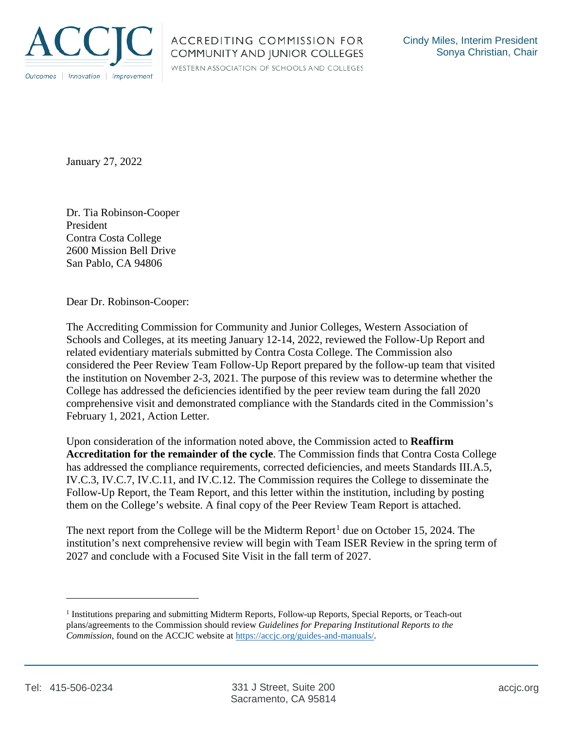

WESTERN ASSOCIATION OF SCHOOLS AND COLLEGES

January 27, 2022

Dr. Tia Robinson-Cooper President Contra Costa College 2600 Mission Bell Drive San Pablo, CA 94806

Dear Dr. Robinson-Cooper:

The Accrediting Commission for Community and Junior Colleges, Western Association of Schools and Colleges, at its meeting January 12-14, 2022, reviewed the Follow-Up Report and related evidentiary materials submitted by Contra Costa College. The Commission also considered the Peer Review Team Follow-Up Report prepared by the follow-up team that visited the institution on November 2-3, 2021. The purpose of this review was to determine whether the College has addressed the deficiencies identified by the peer review team during the fall 2020 comprehensive visit and demonstrated compliance with the Standards cited in the Commission's February 1, 2021, Action Letter.

Upon consideration of the information noted above, the Commission acted to **Reaffirm Accreditation for the remainder of the cycle**. The Commission finds that Contra Costa College has addressed the compliance requirements, corrected deficiencies, and meets Standards III.A.5, IV.C.3, IV.C.7, IV.C.11, and IV.C.12. The Commission requires the College to disseminate the Follow-Up Report, the Team Report, and this letter within the institution, including by posting them on the College's website. A final copy of the Peer Review Team Report is attached.

The next report from the College will be the Midterm Report<sup>1</sup> due on October 15, 2024. The institution's next comprehensive review will begin with Team ISER Review in the spring term of 2027 and conclude with a Focused Site Visit in the fall term of 2027.

<sup>1</sup> Institutions preparing and submitting Midterm Reports, Follow-up Reports, Special Reports, or Teach-out plans/agreements to the Commission should review *Guidelines for Preparing Institutional Reports to the Commission*, found on the ACCJC website at https://accjc.org/guides-and-manuals/.